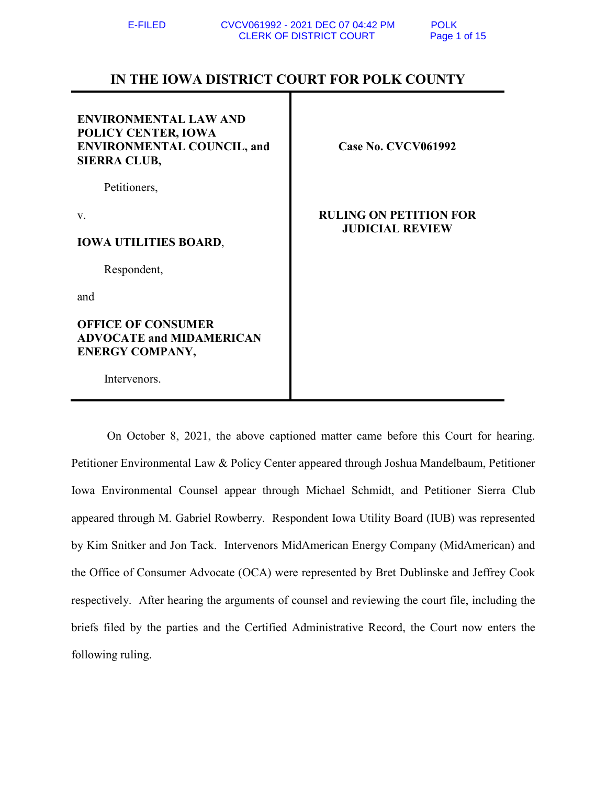EVCV061992 - 2021 DEC 07 04:42 PM POLK<br>CLERK OF DISTRICT COURT Page 1 of 15 **CLERK OF DISTRICT COURT** 

# **IN THE IOWA DISTRICT COURT FOR POLK COUNTY**

| <b>ENVIRONMENTAL LAW AND</b><br>POLICY CENTER, IOWA<br><b>ENVIRONMENTAL COUNCIL, and</b><br><b>SIERRA CLUB,</b> | <b>Case No. CVCV061992</b>    |
|-----------------------------------------------------------------------------------------------------------------|-------------------------------|
| Petitioners,                                                                                                    |                               |
| V.                                                                                                              | <b>RULING ON PETITION FOR</b> |
| <b>IOWA UTILITIES BOARD,</b>                                                                                    | <b>JUDICIAL REVIEW</b>        |
| Respondent,                                                                                                     |                               |
| and                                                                                                             |                               |
| <b>OFFICE OF CONSUMER</b><br><b>ADVOCATE and MIDAMERICAN</b><br><b>ENERGY COMPANY,</b>                          |                               |
| Intervenors.                                                                                                    |                               |

On October 8, 2021, the above captioned matter came before this Court for hearing. Petitioner Environmental Law & Policy Center appeared through Joshua Mandelbaum, Petitioner Iowa Environmental Counsel appear through Michael Schmidt, and Petitioner Sierra Club appeared through M. Gabriel Rowberry. Respondent Iowa Utility Board (IUB) was represented by Kim Snitker and Jon Tack. Intervenors MidAmerican Energy Company (MidAmerican) and the Office of Consumer Advocate (OCA) were represented by Bret Dublinske and Jeffrey Cook respectively. After hearing the arguments of counsel and reviewing the court file, including the briefs filed by the parties and the Certified Administrative Record, the Court now enters the following ruling.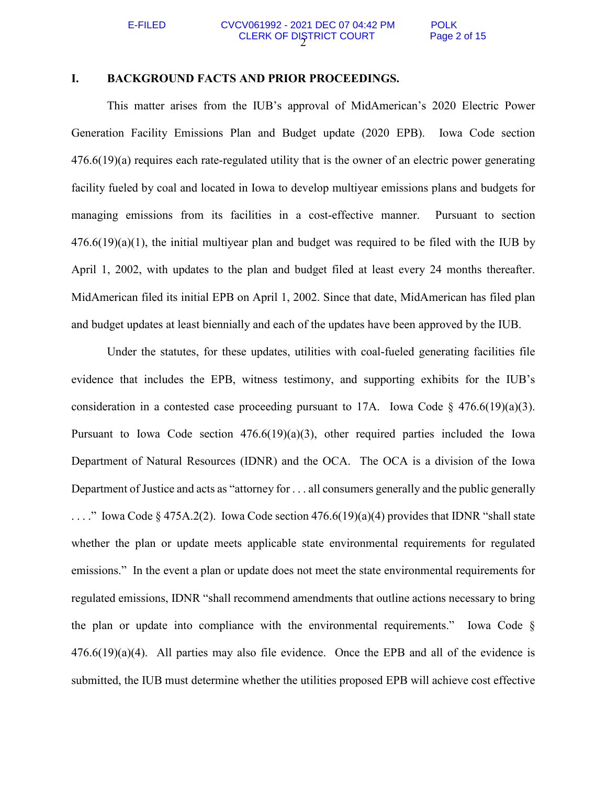## **I. BACKGROUND FACTS AND PRIOR PROCEEDINGS.**

This matter arises from the IUB's approval of MidAmerican's 2020 Electric Power Generation Facility Emissions Plan and Budget update (2020 EPB). Iowa Code section 476.6(19)(a) requires each rate-regulated utility that is the owner of an electric power generating facility fueled by coal and located in Iowa to develop multiyear emissions plans and budgets for managing emissions from its facilities in a cost-effective manner. Pursuant to section  $476.6(19)(a)(1)$ , the initial multiyear plan and budget was required to be filed with the IUB by April 1, 2002, with updates to the plan and budget filed at least every 24 months thereafter. MidAmerican filed its initial EPB on April 1, 2002. Since that date, MidAmerican has filed plan and budget updates at least biennially and each of the updates have been approved by the IUB.

Under the statutes, for these updates, utilities with coal-fueled generating facilities file evidence that includes the EPB, witness testimony, and supporting exhibits for the IUB's consideration in a contested case proceeding pursuant to 17A. Iowa Code  $\S$  476.6(19)(a)(3). Pursuant to Iowa Code section  $476.6(19)(a)(3)$ , other required parties included the Iowa Department of Natural Resources (IDNR) and the OCA. The OCA is a division of the Iowa Department of Justice and acts as "attorney for . . . all consumers generally and the public generally ...." Iowa Code § 475A.2(2). Iowa Code section  $476.6(19)(a)(4)$  provides that IDNR "shall state whether the plan or update meets applicable state environmental requirements for regulated emissions." In the event a plan or update does not meet the state environmental requirements for regulated emissions, IDNR "shall recommend amendments that outline actions necessary to bring the plan or update into compliance with the environmental requirements." Iowa Code §  $476.6(19)(a)(4)$ . All parties may also file evidence. Once the EPB and all of the evidence is submitted, the IUB must determine whether the utilities proposed EPB will achieve cost effective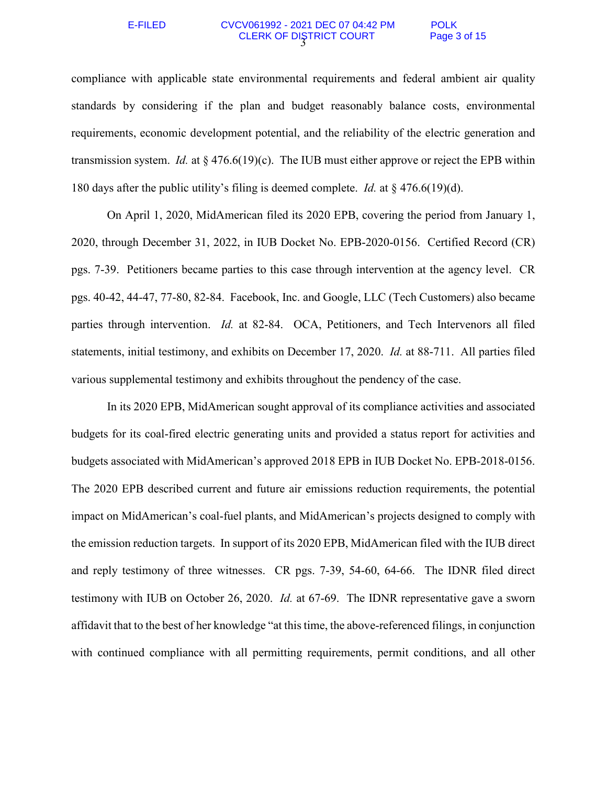## 3 E-FILED CVCV061992 - 2021 DEC 07 04:42 PM POLK CLERK OF DISTRICT COURT Page 3 of 15

compliance with applicable state environmental requirements and federal ambient air quality standards by considering if the plan and budget reasonably balance costs, environmental requirements, economic development potential, and the reliability of the electric generation and transmission system. *Id.* at  $\S 476.6(19)(c)$ . The IUB must either approve or reject the EPB within 180 days after the public utility's filing is deemed complete. *Id.* at § 476.6(19)(d).

On April 1, 2020, MidAmerican filed its 2020 EPB, covering the period from January 1, 2020, through December 31, 2022, in IUB Docket No. EPB-2020-0156. Certified Record (CR) pgs. 7-39. Petitioners became parties to this case through intervention at the agency level. CR pgs. 40-42, 44-47, 77-80, 82-84. Facebook, Inc. and Google, LLC (Tech Customers) also became parties through intervention. *Id.* at 82-84. OCA, Petitioners, and Tech Intervenors all filed statements, initial testimony, and exhibits on December 17, 2020. *Id.* at 88-711. All parties filed various supplemental testimony and exhibits throughout the pendency of the case.

In its 2020 EPB, MidAmerican sought approval of its compliance activities and associated budgets for its coal-fired electric generating units and provided a status report for activities and budgets associated with MidAmerican's approved 2018 EPB in IUB Docket No. EPB-2018-0156. The 2020 EPB described current and future air emissions reduction requirements, the potential impact on MidAmerican's coal-fuel plants, and MidAmerican's projects designed to comply with the emission reduction targets. In support of its 2020 EPB, MidAmerican filed with the IUB direct and reply testimony of three witnesses. CR pgs. 7-39, 54-60, 64-66. The IDNR filed direct testimony with IUB on October 26, 2020. *Id.* at 67-69. The IDNR representative gave a sworn affidavit that to the best of her knowledge "at this time, the above-referenced filings, in conjunction with continued compliance with all permitting requirements, permit conditions, and all other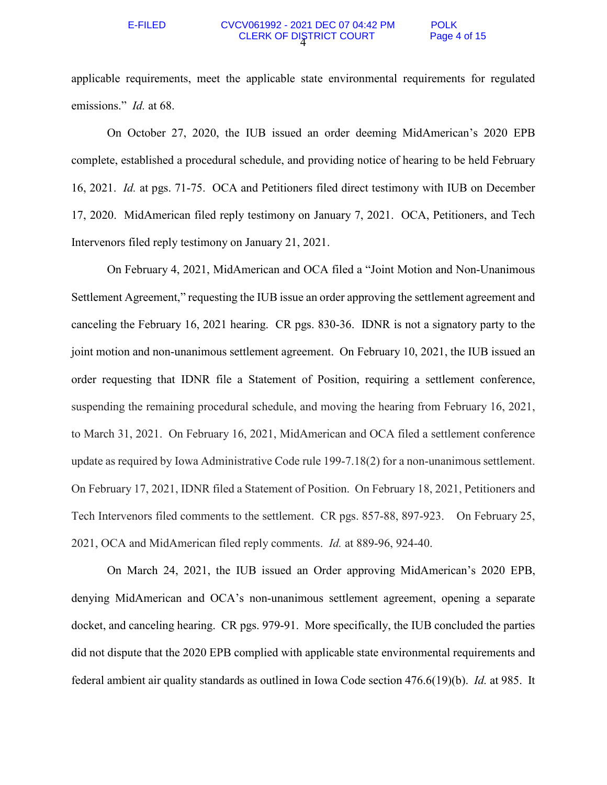applicable requirements, meet the applicable state environmental requirements for regulated emissions." *Id.* at 68.

On October 27, 2020, the IUB issued an order deeming MidAmerican's 2020 EPB complete, established a procedural schedule, and providing notice of hearing to be held February 16, 2021. *Id.* at pgs. 71-75. OCA and Petitioners filed direct testimony with IUB on December 17, 2020. MidAmerican filed reply testimony on January 7, 2021. OCA, Petitioners, and Tech Intervenors filed reply testimony on January 21, 2021.

On February 4, 2021, MidAmerican and OCA filed a "Joint Motion and Non-Unanimous Settlement Agreement," requesting the IUB issue an order approving the settlement agreement and canceling the February 16, 2021 hearing. CR pgs. 830-36. IDNR is not a signatory party to the joint motion and non-unanimous settlement agreement. On February 10, 2021, the IUB issued an order requesting that IDNR file a Statement of Position, requiring a settlement conference, suspending the remaining procedural schedule, and moving the hearing from February 16, 2021, to March 31, 2021. On February 16, 2021, MidAmerican and OCA filed a settlement conference update as required by Iowa Administrative Code rule 199-7.18(2) for a non-unanimous settlement. On February 17, 2021, IDNR filed a Statement of Position. On February 18, 2021, Petitioners and Tech Intervenors filed comments to the settlement. CR pgs. 857-88, 897-923. On February 25, 2021, OCA and MidAmerican filed reply comments. *Id.* at 889-96, 924-40.

On March 24, 2021, the IUB issued an Order approving MidAmerican's 2020 EPB, denying MidAmerican and OCA's non-unanimous settlement agreement, opening a separate docket, and canceling hearing. CR pgs. 979-91. More specifically, the IUB concluded the parties did not dispute that the 2020 EPB complied with applicable state environmental requirements and federal ambient air quality standards as outlined in Iowa Code section 476.6(19)(b). *Id.* at 985. It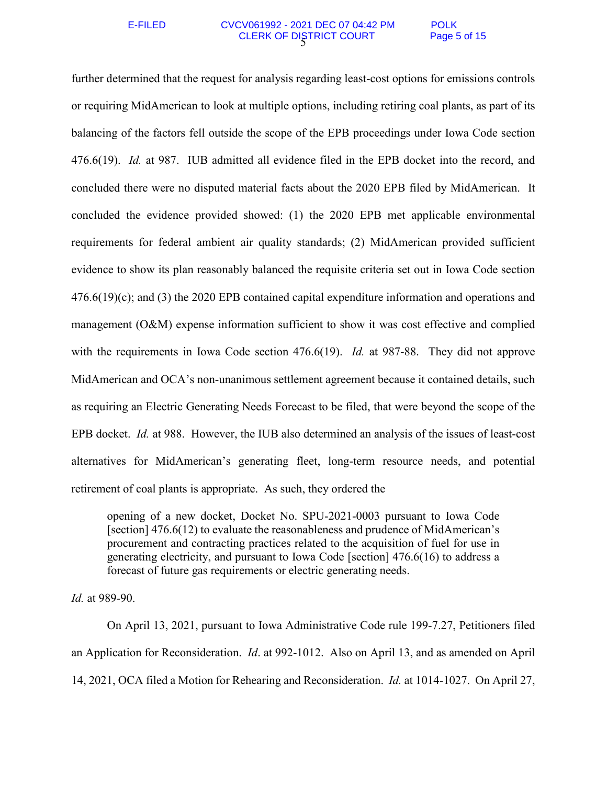## 5 E-FILED CVCV061992 - 2021 DEC 07 04:42 PM POLK CLERK OF DISTRICT COURT Page 5 of 15

further determined that the request for analysis regarding least-cost options for emissions controls or requiring MidAmerican to look at multiple options, including retiring coal plants, as part of its balancing of the factors fell outside the scope of the EPB proceedings under Iowa Code section 476.6(19). *Id.* at 987. IUB admitted all evidence filed in the EPB docket into the record, and concluded there were no disputed material facts about the 2020 EPB filed by MidAmerican. It concluded the evidence provided showed: (1) the 2020 EPB met applicable environmental requirements for federal ambient air quality standards; (2) MidAmerican provided sufficient evidence to show its plan reasonably balanced the requisite criteria set out in Iowa Code section 476.6(19)(c); and (3) the 2020 EPB contained capital expenditure information and operations and management (O&M) expense information sufficient to show it was cost effective and complied with the requirements in Iowa Code section 476.6(19). *Id.* at 987-88. They did not approve MidAmerican and OCA's non-unanimous settlement agreement because it contained details, such as requiring an Electric Generating Needs Forecast to be filed, that were beyond the scope of the EPB docket. *Id.* at 988. However, the IUB also determined an analysis of the issues of least-cost alternatives for MidAmerican's generating fleet, long-term resource needs, and potential retirement of coal plants is appropriate. As such, they ordered the

opening of a new docket, Docket No. SPU-2021-0003 pursuant to Iowa Code [section] 476.6(12) to evaluate the reasonableness and prudence of MidAmerican's procurement and contracting practices related to the acquisition of fuel for use in generating electricity, and pursuant to Iowa Code [section] 476.6(16) to address a forecast of future gas requirements or electric generating needs.

*Id.* at 989-90.

On April 13, 2021, pursuant to Iowa Administrative Code rule 199-7.27, Petitioners filed an Application for Reconsideration. *Id*. at 992-1012. Also on April 13, and as amended on April 14, 2021, OCA filed a Motion for Rehearing and Reconsideration. *Id.* at 1014-1027. On April 27,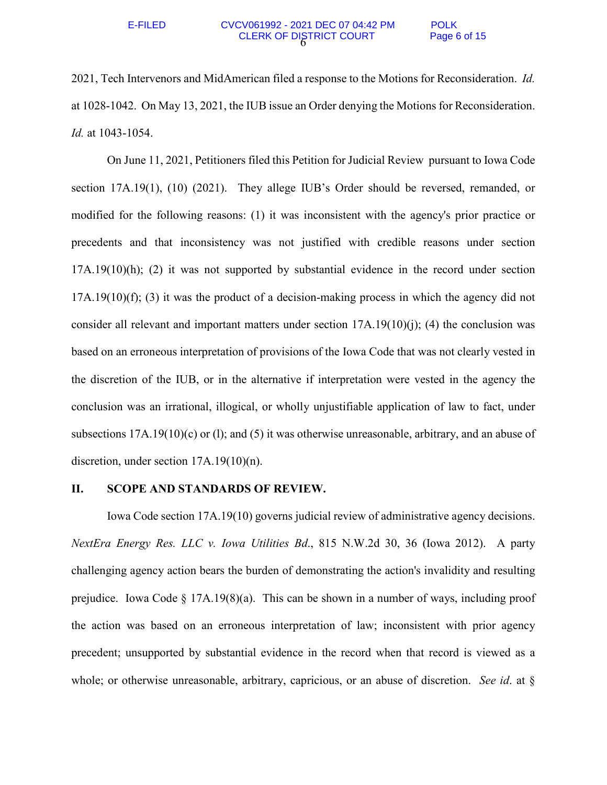2021, Tech Intervenors and MidAmerican filed a response to the Motions for Reconsideration. *Id.* at 1028-1042. On May 13, 2021, the IUB issue an Order denying the Motions for Reconsideration. *Id.* at 1043-1054.

On June 11, 2021, Petitioners filed this Petition for Judicial Review pursuant to Iowa Code section 17A.19(1), (10) (2021). They allege IUB's Order should be reversed, remanded, or modified for the following reasons: (1) it was inconsistent with the agency's prior practice or precedents and that inconsistency was not justified with credible reasons under section 17A.19(10)(h); (2) it was not supported by substantial evidence in the record under section 17A.19(10)(f); (3) it was the product of a decision-making process in which the agency did not consider all relevant and important matters under section  $17A.19(10)(i)$ ; (4) the conclusion was based on an erroneous interpretation of provisions of the Iowa Code that was not clearly vested in the discretion of the IUB, or in the alternative if interpretation were vested in the agency the conclusion was an irrational, illogical, or wholly unjustifiable application of law to fact, under subsections  $17A.19(10)(c)$  or (1); and (5) it was otherwise unreasonable, arbitrary, and an abuse of discretion, under section 17A.19(10)(n).

## **II. SCOPE AND STANDARDS OF REVIEW.**

Iowa Code section 17A.19(10) governs judicial review of administrative agency decisions. *NextEra Energy Res. LLC v. Iowa Utilities Bd*., 815 N.W.2d 30, 36 (Iowa 2012). A party challenging agency action bears the burden of demonstrating the action's invalidity and resulting prejudice. Iowa Code  $\S$  17A.19(8)(a). This can be shown in a number of ways, including proof the action was based on an erroneous interpretation of law; inconsistent with prior agency precedent; unsupported by substantial evidence in the record when that record is viewed as a whole; or otherwise unreasonable, arbitrary, capricious, or an abuse of discretion. *See id*. at §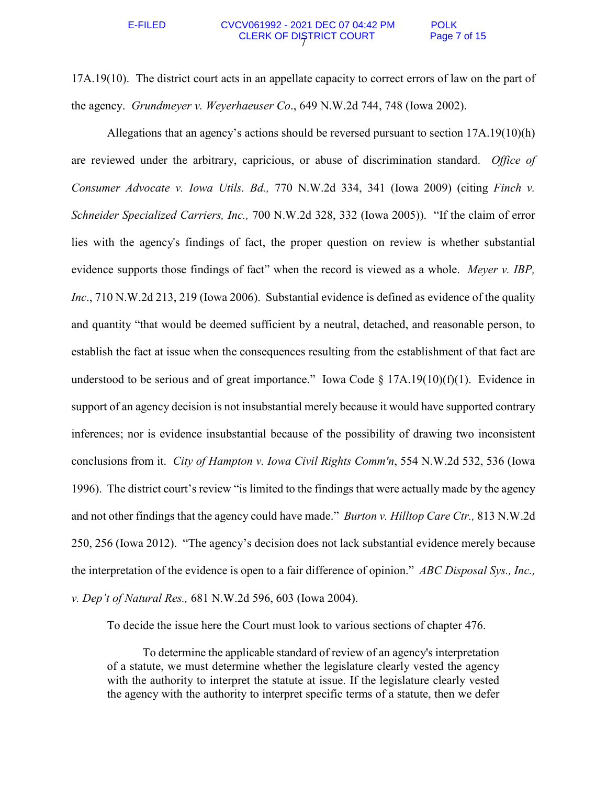## 7 E-FILED CVCV061992 - 2021 DEC 07 04:42 PM POLK CLERK OF DISTRICT COURT Page 7 of 15

17A.19(10). The district court acts in an appellate capacity to correct errors of law on the part of the agency. *Grundmeyer v. Weyerhaeuser Co*., 649 N.W.2d 744, 748 (Iowa 2002).

Allegations that an agency's actions should be reversed pursuant to section  $17A.19(10)(h)$ are reviewed under the arbitrary, capricious, or abuse of discrimination standard. *Office of Consumer Advocate v. Iowa Utils. Bd.,* 770 N.W.2d 334, 341 (Iowa 2009) (citing *Finch v. Schneider Specialized Carriers, Inc.,* 700 N.W.2d 328, 332 (Iowa 2005)). "If the claim of error lies with the agency's findings of fact, the proper question on review is whether substantial evidence supports those findings of fact" when the record is viewed as a whole. *Meyer v. IBP, Inc*., 710 N.W.2d 213, 219 (Iowa 2006). Substantial evidence is defined as evidence of the quality and quantity "that would be deemed sufficient by a neutral, detached, and reasonable person, to establish the fact at issue when the consequences resulting from the establishment of that fact are understood to be serious and of great importance." Iowa Code § 17A.19(10)(f)(1). Evidence in support of an agency decision is not insubstantial merely because it would have supported contrary inferences; nor is evidence insubstantial because of the possibility of drawing two inconsistent conclusions from it. *City of Hampton v. Iowa Civil Rights Comm'n*, 554 N.W.2d 532, 536 (Iowa 1996). The district court's review "is limited to the findings that were actually made by the agency and not other findings that the agency could have made." *Burton v. Hilltop Care Ctr.,* 813 N.W.2d 250, 256 (Iowa 2012). "The agency's decision does not lack substantial evidence merely because the interpretation of the evidence is open to a fair difference of opinion." *ABC Disposal Sys., Inc., v. Dep't of Natural Res.,* 681 N.W.2d 596, 603 (Iowa 2004).

To decide the issue here the Court must look to various sections of chapter 476.

To determine the applicable standard of review of an agency's interpretation of a statute, we must determine whether the legislature clearly vested the agency with the authority to interpret the statute at issue. If the legislature clearly vested the agency with the authority to interpret specific terms of a statute, then we defer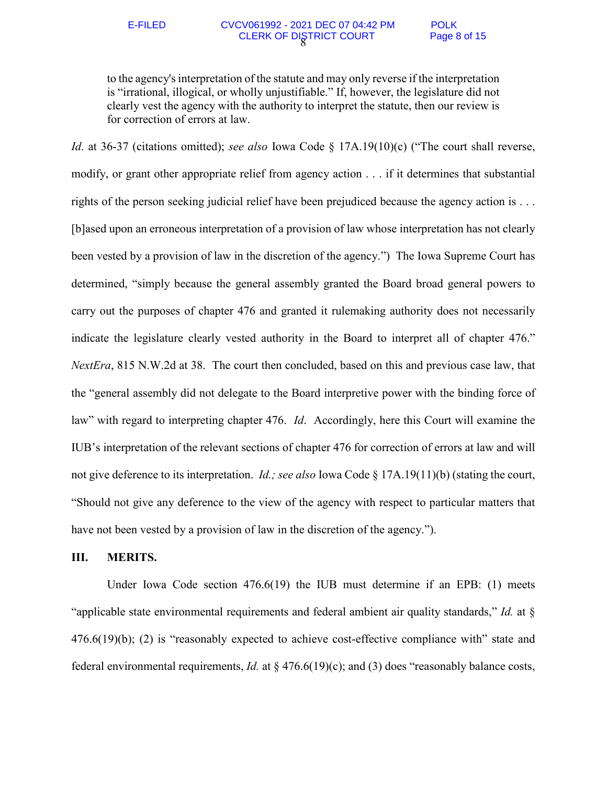to the agency's interpretation of the statute and may only reverse if the interpretation is "irrational, illogical, or wholly unjustifiable." If, however, the legislature did not clearly vest the agency with the authority to interpret the statute, then our review is for correction of errors at law.

*Id*. at 36-37 (citations omitted); *see also* Iowa Code § 17A.19(10)(c) ("The court shall reverse, modify, or grant other appropriate relief from agency action . . . if it determines that substantial rights of the person seeking judicial relief have been prejudiced because the agency action is . . . [b]ased upon an erroneous interpretation of a provision of law whose interpretation has not clearly been vested by a provision of law in the discretion of the agency.")The Iowa Supreme Court has determined, "simply because the general assembly granted the Board broad general powers to carry out the purposes of chapter 476 and granted it rulemaking authority does not necessarily indicate the legislature clearly vested authority in the Board to interpret all of chapter 476." *NextEra*, 815 N.W.2d at 38. The court then concluded, based on this and previous case law, that the "general assembly did not delegate to the Board interpretive power with the binding force of law" with regard to interpreting chapter 476. *Id*. Accordingly, here this Court will examine the IUB's interpretation of the relevant sections of chapter 476 for correction of errors at law and will not give deference to its interpretation. *Id.; see also* Iowa Code § 17A.19(11)(b) (stating the court, "Should not give any deference to the view of the agency with respect to particular matters that have not been vested by a provision of law in the discretion of the agency.").

## **III. MERITS.**

Under Iowa Code section 476.6(19) the IUB must determine if an EPB: (1) meets "applicable state environmental requirements and federal ambient air quality standards," *Id.* at § 476.6(19)(b); (2) is "reasonably expected to achieve cost-effective compliance with" state and federal environmental requirements, *Id.* at § 476.6(19)(c); and (3) does "reasonably balance costs,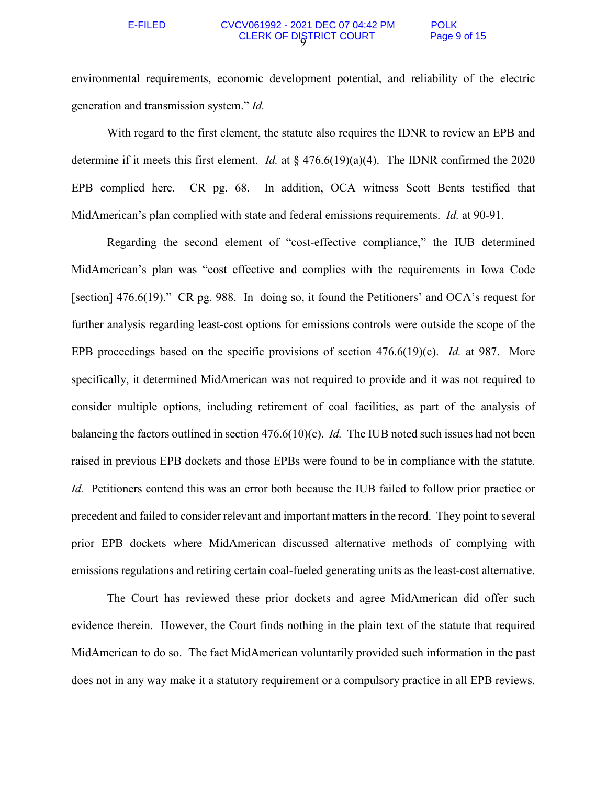environmental requirements, economic development potential, and reliability of the electric generation and transmission system." *Id.* 

With regard to the first element, the statute also requires the IDNR to review an EPB and determine if it meets this first element. *Id.* at § 476.6(19)(a)(4). The IDNR confirmed the 2020 EPB complied here. CR pg. 68. In addition, OCA witness Scott Bents testified that MidAmerican's plan complied with state and federal emissions requirements. *Id.* at 90-91.

Regarding the second element of "cost-effective compliance," the IUB determined MidAmerican's plan was "cost effective and complies with the requirements in Iowa Code [section] 476.6(19)." CR pg. 988. In doing so, it found the Petitioners' and OCA's request for further analysis regarding least-cost options for emissions controls were outside the scope of the EPB proceedings based on the specific provisions of section 476.6(19)(c). *Id.* at 987. More specifically, it determined MidAmerican was not required to provide and it was not required to consider multiple options, including retirement of coal facilities, as part of the analysis of balancing the factors outlined in section 476.6(10)(c). *Id.* The IUB noted such issues had not been raised in previous EPB dockets and those EPBs were found to be in compliance with the statute. *Id.* Petitioners contend this was an error both because the IUB failed to follow prior practice or precedent and failed to consider relevant and important matters in the record. They point to several prior EPB dockets where MidAmerican discussed alternative methods of complying with emissions regulations and retiring certain coal-fueled generating units as the least-cost alternative.

The Court has reviewed these prior dockets and agree MidAmerican did offer such evidence therein. However, the Court finds nothing in the plain text of the statute that required MidAmerican to do so. The fact MidAmerican voluntarily provided such information in the past does not in any way make it a statutory requirement or a compulsory practice in all EPB reviews.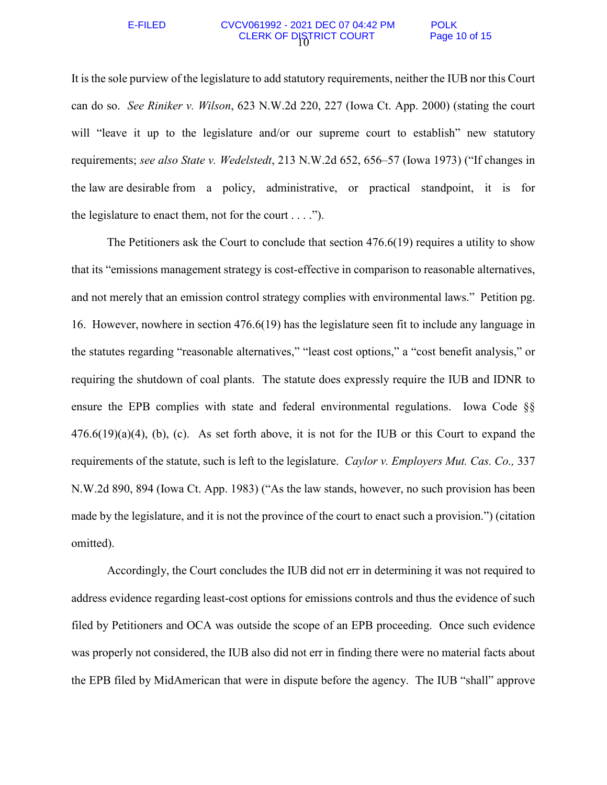## $10'$ E-FILED CVCV061992 - 2021 DEC 07 04:42 PM POLK CLERK OF DISTRICT COURT Page 10 of 15

It is the sole purview of the legislature to add statutory requirements, neither the IUB nor this Court can do so. *See Riniker v. Wilson*, 623 N.W.2d 220, 227 (Iowa Ct. App. 2000) (stating the court will "leave it up to the legislature and/or our supreme court to establish" new statutory requirements; *see also State v. Wedelstedt*, 213 N.W.2d 652, 656–57 (Iowa 1973) ("If changes in the law are desirable from a policy, administrative, or practical standpoint, it is for the legislature to enact them, not for the court  $\dots$ .").

The Petitioners ask the Court to conclude that section 476.6(19) requires a utility to show that its "emissions management strategy is cost-effective in comparison to reasonable alternatives, and not merely that an emission control strategy complies with environmental laws." Petition pg. 16. However, nowhere in section 476.6(19) has the legislature seen fit to include any language in the statutes regarding "reasonable alternatives," "least cost options," a "cost benefit analysis," or requiring the shutdown of coal plants. The statute does expressly require the IUB and IDNR to ensure the EPB complies with state and federal environmental regulations. Iowa Code §§  $476.6(19)(a)(4)$ , (b), (c). As set forth above, it is not for the IUB or this Court to expand the requirements of the statute, such is left to the legislature. *Caylor v. Employers Mut. Cas. Co.,* 337 N.W.2d 890, 894 (Iowa Ct. App. 1983) ("As the law stands, however, no such provision has been made by the legislature, and it is not the province of the court to enact such a provision.") (citation omitted).

Accordingly, the Court concludes the IUB did not err in determining it was not required to address evidence regarding least-cost options for emissions controls and thus the evidence of such filed by Petitioners and OCA was outside the scope of an EPB proceeding. Once such evidence was properly not considered, the IUB also did not err in finding there were no material facts about the EPB filed by MidAmerican that were in dispute before the agency. The IUB "shall" approve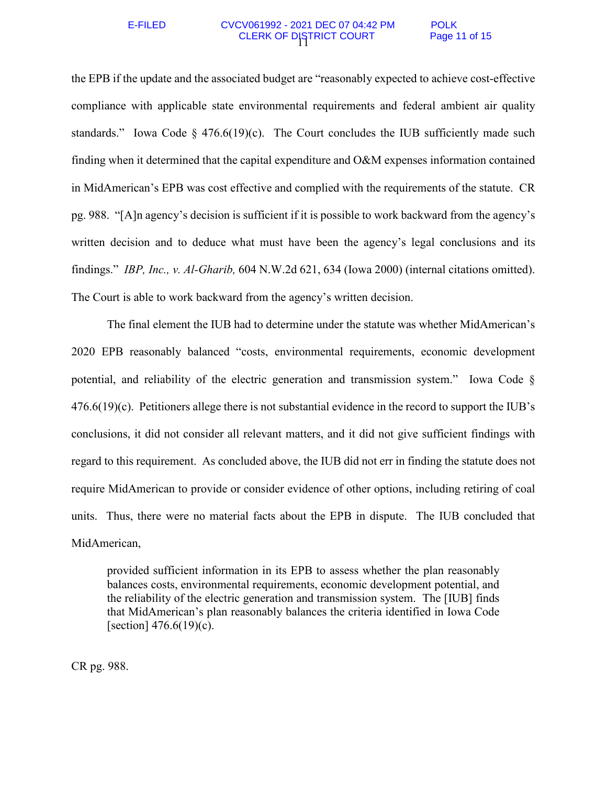## 11 E-FILED CVCV061992 - 2021 DEC 07 04:42 PM POLK CLERK OF DISTRICT COURT Page 11 of 15

the EPB if the update and the associated budget are "reasonably expected to achieve cost-effective compliance with applicable state environmental requirements and federal ambient air quality standards." Iowa Code § 476.6(19)(c). The Court concludes the IUB sufficiently made such finding when it determined that the capital expenditure and O&M expenses information contained in MidAmerican's EPB was cost effective and complied with the requirements of the statute. CR pg. 988. "[A]n agency's decision is sufficient if it is possible to work backward from the agency's written decision and to deduce what must have been the agency's legal conclusions and its findings." *IBP, Inc., v. Al-Gharib,* 604 N.W.2d 621, 634 (Iowa 2000) (internal citations omitted). The Court is able to work backward from the agency's written decision.

The final element the IUB had to determine under the statute was whether MidAmerican's 2020 EPB reasonably balanced "costs, environmental requirements, economic development potential, and reliability of the electric generation and transmission system." Iowa Code § 476.6(19)(c). Petitioners allege there is not substantial evidence in the record to support the IUB's conclusions, it did not consider all relevant matters, and it did not give sufficient findings with regard to this requirement. As concluded above, the IUB did not err in finding the statute does not require MidAmerican to provide or consider evidence of other options, including retiring of coal units. Thus, there were no material facts about the EPB in dispute. The IUB concluded that MidAmerican,

provided sufficient information in its EPB to assess whether the plan reasonably balances costs, environmental requirements, economic development potential, and the reliability of the electric generation and transmission system. The [IUB] finds that MidAmerican's plan reasonably balances the criteria identified in Iowa Code [section]  $476.6(19)(c)$ .

CR pg. 988.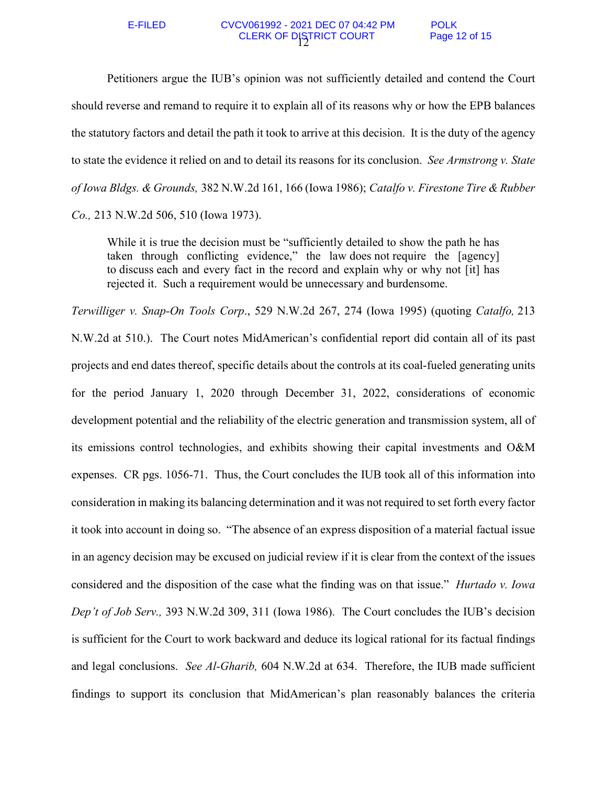Petitioners argue the IUB's opinion was not sufficiently detailed and contend the Court should reverse and remand to require it to explain all of its reasons why or how the EPB balances the statutory factors and detail the path it took to arrive at this decision. It is the duty of the agency to state the evidence it relied on and to detail its reasons for its conclusion. *See Armstrong v. State of Iowa Bldgs. & Grounds,* 382 N.W.2d 161, 166 (Iowa 1986); *Catalfo v. Firestone Tire & Rubber Co.,* 213 N.W.2d 506, 510 (Iowa 1973).

While it is true the decision must be "sufficiently detailed to show the path he has taken through conflicting evidence," the law does not require the [agency] to discuss each and every fact in the record and explain why or why not [it] has rejected it. Such a requirement would be unnecessary and burdensome.

*Terwilliger v. Snap-On Tools Corp*., 529 N.W.2d 267, 274 (Iowa 1995) (quoting *Catalfo,* 213 N.W.2d at 510.). The Court notes MidAmerican's confidential report did contain all of its past projects and end dates thereof, specific details about the controls at its coal-fueled generating units for the period January 1, 2020 through December 31, 2022, considerations of economic development potential and the reliability of the electric generation and transmission system, all of its emissions control technologies, and exhibits showing their capital investments and O&M expenses. CR pgs. 1056-71. Thus, the Court concludes the IUB took all of this information into consideration in making its balancing determination and it was not required to set forth every factor it took into account in doing so. "The absence of an express disposition of a material factual issue in an agency decision may be excused on judicial review if it is clear from the context of the issues considered and the disposition of the case what the finding was on that issue." *Hurtado v. Iowa Dep't of Job Serv.,* 393 N.W.2d 309, 311 (Iowa 1986). The Court concludes the IUB's decision is sufficient for the Court to work backward and deduce its logical rational for its factual findings and legal conclusions. *See Al-Gharib,* 604 N.W.2d at 634.Therefore, the IUB made sufficient findings to support its conclusion that MidAmerican's plan reasonably balances the criteria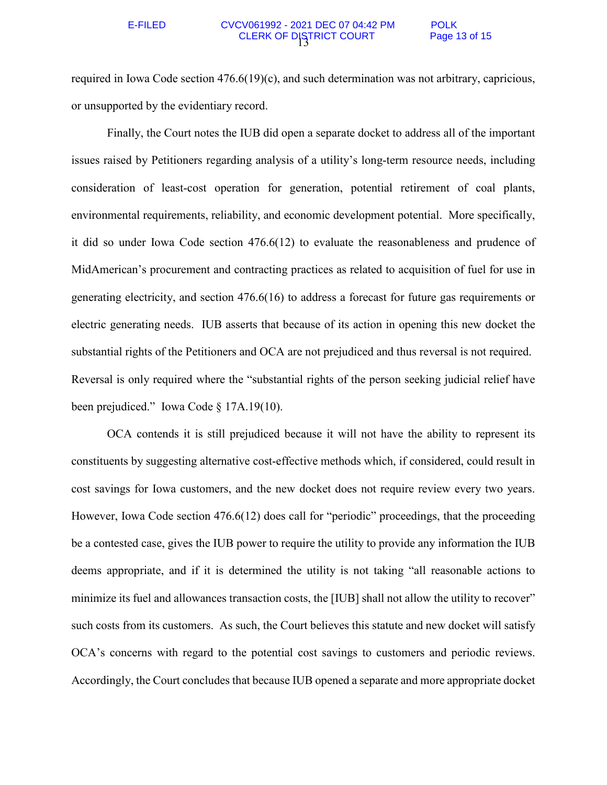## $13'$ E-FILED CVCV061992 - 2021 DEC 07 04:42 PM POLK CLERK OF DISTRICT COURT Page 13 of 15

required in Iowa Code section 476.6(19)(c), and such determination was not arbitrary, capricious, or unsupported by the evidentiary record.

 Finally, the Court notes the IUB did open a separate docket to address all of the important issues raised by Petitioners regarding analysis of a utility's long-term resource needs, including consideration of least-cost operation for generation, potential retirement of coal plants, environmental requirements, reliability, and economic development potential. More specifically, it did so under Iowa Code section 476.6(12) to evaluate the reasonableness and prudence of MidAmerican's procurement and contracting practices as related to acquisition of fuel for use in generating electricity, and section 476.6(16) to address a forecast for future gas requirements or electric generating needs. IUB asserts that because of its action in opening this new docket the substantial rights of the Petitioners and OCA are not prejudiced and thus reversal is not required. Reversal is only required where the "substantial rights of the person seeking judicial relief have been prejudiced." Iowa Code § 17A.19(10).

OCA contends it is still prejudiced because it will not have the ability to represent its constituents by suggesting alternative cost-effective methods which, if considered, could result in cost savings for Iowa customers, and the new docket does not require review every two years. However, Iowa Code section 476.6(12) does call for "periodic" proceedings, that the proceeding be a contested case, gives the IUB power to require the utility to provide any information the IUB deems appropriate, and if it is determined the utility is not taking "all reasonable actions to minimize its fuel and allowances transaction costs, the [IUB] shall not allow the utility to recover" such costs from its customers. As such, the Court believes this statute and new docket will satisfy OCA's concerns with regard to the potential cost savings to customers and periodic reviews. Accordingly, the Court concludes that because IUB opened a separate and more appropriate docket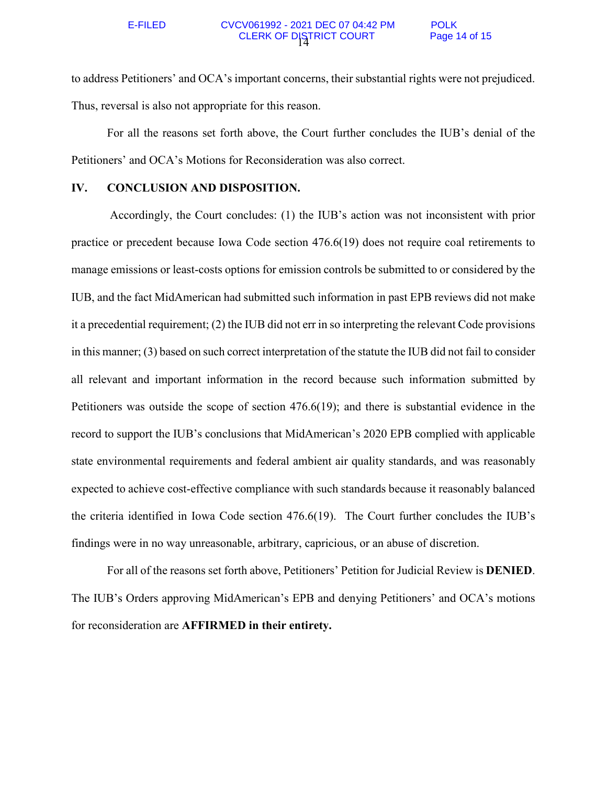to address Petitioners' and OCA's important concerns, their substantial rights were not prejudiced. Thus, reversal is also not appropriate for this reason.

For all the reasons set forth above, the Court further concludes the IUB's denial of the Petitioners' and OCA's Motions for Reconsideration was also correct.

## **IV. CONCLUSION AND DISPOSITION.**

 Accordingly, the Court concludes: (1) the IUB's action was not inconsistent with prior practice or precedent because Iowa Code section 476.6(19) does not require coal retirements to manage emissions or least-costs options for emission controls be submitted to or considered by the IUB, and the fact MidAmerican had submitted such information in past EPB reviews did not make it a precedential requirement; (2) the IUB did not err in so interpreting the relevant Code provisions in this manner; (3) based on such correct interpretation of the statute the IUB did not fail to consider all relevant and important information in the record because such information submitted by Petitioners was outside the scope of section 476.6(19); and there is substantial evidence in the record to support the IUB's conclusions that MidAmerican's 2020 EPB complied with applicable state environmental requirements and federal ambient air quality standards, and was reasonably expected to achieve cost-effective compliance with such standards because it reasonably balanced the criteria identified in Iowa Code section 476.6(19). The Court further concludes the IUB's findings were in no way unreasonable, arbitrary, capricious, or an abuse of discretion.

For all of the reasons set forth above, Petitioners' Petition for Judicial Review is **DENIED**. The IUB's Orders approving MidAmerican's EPB and denying Petitioners' and OCA's motions for reconsideration are **AFFIRMED in their entirety.**